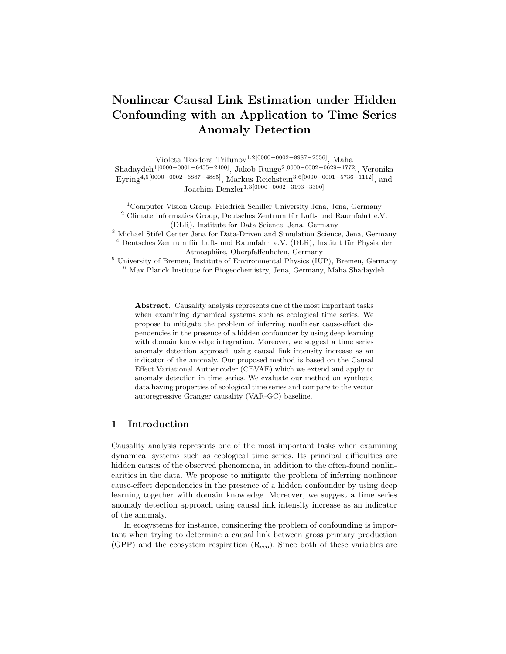# Nonlinear Causal Link Estimation under Hidden Confounding with an Application to Time Series Anomaly Detection

Violeta Teodora Trifunov1,2[0000−0002−9987−2356], Maha Shadaydeh<sup>1[0000–0001–6455–2400]</sup>, Jakob Runge<sup>2[0000–0002–0629–1772]</sup>, Veronika Eyring4,5[0000−0002−6887−4885], Markus Reichstein3,6[0000−0001−5736−1112], and Joachim Denzler1,3[0000−0002−3193−3300]

<sup>1</sup>Computer Vision Group, Friedrich Schiller University Jena, Jena, Germany  $^2$  Climate Informatics Group, Deutsches Zentrum für Luft- und Raumfahrt e.V.

(DLR), Institute for Data Science, Jena, Germany

<sup>3</sup> Michael Stifel Center Jena for Data-Driven and Simulation Science, Jena, Germany  $^4$  Deutsches Zentrum für Luft- und Raumfahrt e.V. (DLR), Institut für Physik der Atmosphäre, Oberpfaffenhofen, Germany

<sup>5</sup> University of Bremen, Institute of Environmental Physics (IUP), Bremen, Germany <sup>6</sup> Max Planck Institute for Biogeochemistry, Jena, Germany, Maha Shadaydeh

Abstract. Causality analysis represents one of the most important tasks when examining dynamical systems such as ecological time series. We propose to mitigate the problem of inferring nonlinear cause-effect dependencies in the presence of a hidden confounder by using deep learning with domain knowledge integration. Moreover, we suggest a time series anomaly detection approach using causal link intensity increase as an indicator of the anomaly. Our proposed method is based on the Causal Effect Variational Autoencoder (CEVAE) which we extend and apply to anomaly detection in time series. We evaluate our method on synthetic data having properties of ecological time series and compare to the vector autoregressive Granger causality (VAR-GC) baseline.

## 1 Introduction

Causality analysis represents one of the most important tasks when examining dynamical systems such as ecological time series. Its principal difficulties are hidden causes of the observed phenomena, in addition to the often-found nonlinearities in the data. We propose to mitigate the problem of inferring nonlinear cause-effect dependencies in the presence of a hidden confounder by using deep learning together with domain knowledge. Moreover, we suggest a time series anomaly detection approach using causal link intensity increase as an indicator of the anomaly.

In ecosystems for instance, considering the problem of confounding is important when trying to determine a causal link between gross primary production  $(GPP)$  and the ecosystem respiration  $(R_{\text{eco}})$ . Since both of these variables are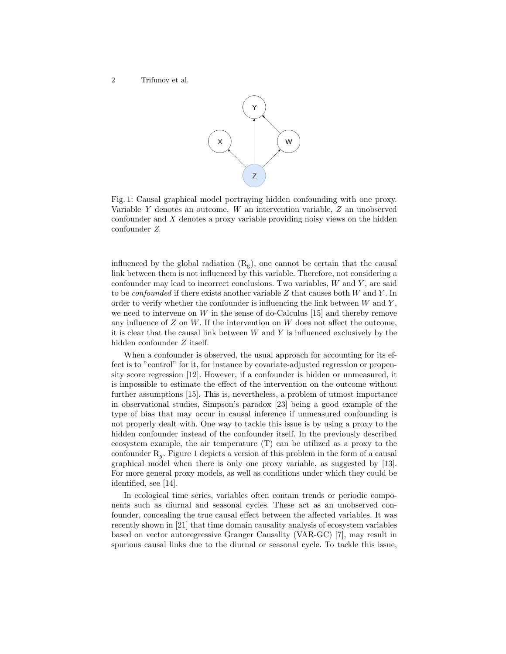

Fig. 1: Causal graphical model portraying hidden confounding with one proxy. Variable Y denotes an outcome, W an intervention variable, Z an unobserved confounder and X denotes a proxy variable providing noisy views on the hidden confounder Z.

influenced by the global radiation  $(R_{\mathcal{g}})$ , one cannot be certain that the causal link between them is not influenced by this variable. Therefore, not considering a confounder may lead to incorrect conclusions. Two variables,  $W$  and  $Y$ , are said to be *confounded* if there exists another variable  $Z$  that causes both  $W$  and  $Y$ . In order to verify whether the confounder is influencing the link between  $W$  and  $Y$ , we need to intervene on  $W$  in the sense of do-Calculus [15] and thereby remove any influence of  $Z$  on  $W$ . If the intervention on  $W$  does not affect the outcome, it is clear that the causal link between  $W$  and  $Y$  is influenced exclusively by the hidden confounder Z itself.

When a confounder is observed, the usual approach for accounting for its effect is to "control" for it, for instance by covariate-adjusted regression or propensity score regression [12]. However, if a confounder is hidden or unmeasured, it is impossible to estimate the effect of the intervention on the outcome without further assumptions [15]. This is, nevertheless, a problem of utmost importance in observational studies, Simpson's paradox [23] being a good example of the type of bias that may occur in causal inference if unmeasured confounding is not properly dealt with. One way to tackle this issue is by using a proxy to the hidden confounder instead of the confounder itself. In the previously described ecosystem example, the air temperature (T) can be utilized as a proxy to the confounder  $R_g$ . Figure 1 depicts a version of this problem in the form of a causal graphical model when there is only one proxy variable, as suggested by [13]. For more general proxy models, as well as conditions under which they could be identified, see [14].

In ecological time series, variables often contain trends or periodic components such as diurnal and seasonal cycles. These act as an unobserved confounder, concealing the true causal effect between the affected variables. It was recently shown in [21] that time domain causality analysis of ecosystem variables based on vector autoregressive Granger Causality (VAR-GC) [7], may result in spurious causal links due to the diurnal or seasonal cycle. To tackle this issue,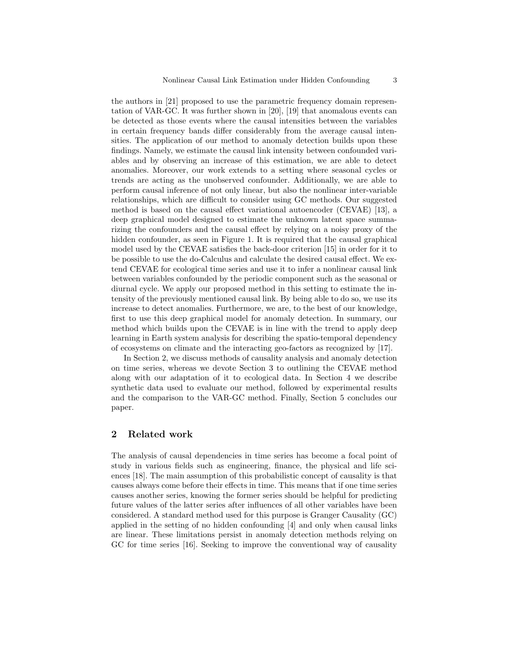the authors in [21] proposed to use the parametric frequency domain representation of VAR-GC. It was further shown in [20], [19] that anomalous events can be detected as those events where the causal intensities between the variables in certain frequency bands differ considerably from the average causal intensities. The application of our method to anomaly detection builds upon these findings. Namely, we estimate the causal link intensity between confounded variables and by observing an increase of this estimation, we are able to detect anomalies. Moreover, our work extends to a setting where seasonal cycles or trends are acting as the unobserved confounder. Additionally, we are able to perform causal inference of not only linear, but also the nonlinear inter-variable relationships, which are difficult to consider using GC methods. Our suggested method is based on the causal effect variational autoencoder (CEVAE) [13], a deep graphical model designed to estimate the unknown latent space summarizing the confounders and the causal effect by relying on a noisy proxy of the hidden confounder, as seen in Figure 1. It is required that the causal graphical model used by the CEVAE satisfies the back-door criterion [15] in order for it to be possible to use the do-Calculus and calculate the desired causal effect. We extend CEVAE for ecological time series and use it to infer a nonlinear causal link between variables confounded by the periodic component such as the seasonal or diurnal cycle. We apply our proposed method in this setting to estimate the intensity of the previously mentioned causal link. By being able to do so, we use its increase to detect anomalies. Furthermore, we are, to the best of our knowledge, first to use this deep graphical model for anomaly detection. In summary, our method which builds upon the CEVAE is in line with the trend to apply deep learning in Earth system analysis for describing the spatio-temporal dependency of ecosystems on climate and the interacting geo-factors as recognized by [17].

In Section 2, we discuss methods of causality analysis and anomaly detection on time series, whereas we devote Section 3 to outlining the CEVAE method along with our adaptation of it to ecological data. In Section 4 we describe synthetic data used to evaluate our method, followed by experimental results and the comparison to the VAR-GC method. Finally, Section 5 concludes our paper.

## 2 Related work

The analysis of causal dependencies in time series has become a focal point of study in various fields such as engineering, finance, the physical and life sciences [18]. The main assumption of this probabilistic concept of causality is that causes always come before their effects in time. This means that if one time series causes another series, knowing the former series should be helpful for predicting future values of the latter series after influences of all other variables have been considered. A standard method used for this purpose is Granger Causality (GC) applied in the setting of no hidden confounding [4] and only when causal links are linear. These limitations persist in anomaly detection methods relying on GC for time series [16]. Seeking to improve the conventional way of causality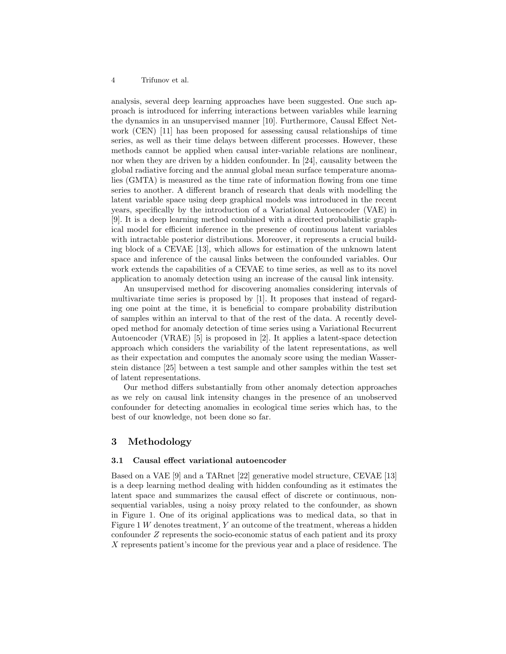analysis, several deep learning approaches have been suggested. One such approach is introduced for inferring interactions between variables while learning the dynamics in an unsupervised manner [10]. Furthermore, Causal Effect Network (CEN) [11] has been proposed for assessing causal relationships of time series, as well as their time delays between different processes. However, these methods cannot be applied when causal inter-variable relations are nonlinear, nor when they are driven by a hidden confounder. In [24], causality between the global radiative forcing and the annual global mean surface temperature anomalies (GMTA) is measured as the time rate of information flowing from one time series to another. A different branch of research that deals with modelling the latent variable space using deep graphical models was introduced in the recent years, specifically by the introduction of a Variational Autoencoder (VAE) in [9]. It is a deep learning method combined with a directed probabilistic graphical model for efficient inference in the presence of continuous latent variables with intractable posterior distributions. Moreover, it represents a crucial building block of a CEVAE [13], which allows for estimation of the unknown latent space and inference of the causal links between the confounded variables. Our work extends the capabilities of a CEVAE to time series, as well as to its novel application to anomaly detection using an increase of the causal link intensity.

An unsupervised method for discovering anomalies considering intervals of multivariate time series is proposed by [1]. It proposes that instead of regarding one point at the time, it is beneficial to compare probability distribution of samples within an interval to that of the rest of the data. A recently developed method for anomaly detection of time series using a Variational Recurrent Autoencoder (VRAE) [5] is proposed in [2]. It applies a latent-space detection approach which considers the variability of the latent representations, as well as their expectation and computes the anomaly score using the median Wasserstein distance [25] between a test sample and other samples within the test set of latent representations.

Our method differs substantially from other anomaly detection approaches as we rely on causal link intensity changes in the presence of an unobserved confounder for detecting anomalies in ecological time series which has, to the best of our knowledge, not been done so far.

## 3 Methodology

#### 3.1 Causal effect variational autoencoder

Based on a VAE [9] and a TARnet [22] generative model structure, CEVAE [13] is a deep learning method dealing with hidden confounding as it estimates the latent space and summarizes the causal effect of discrete or continuous, nonsequential variables, using a noisy proxy related to the confounder, as shown in Figure 1. One of its original applications was to medical data, so that in Figure 1 W denotes treatment, Y an outcome of the treatment, whereas a hidden confounder Z represents the socio-economic status of each patient and its proxy X represents patient's income for the previous year and a place of residence. The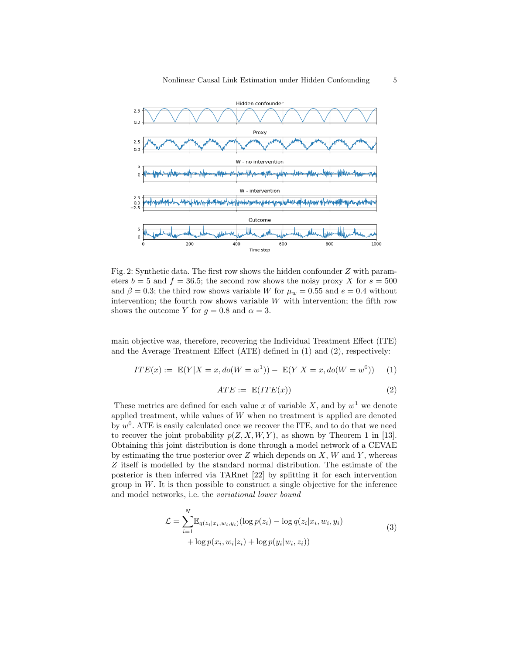

Fig. 2: Synthetic data. The first row shows the hidden confounder Z with parameters  $b = 5$  and  $f = 36.5$ ; the second row shows the noisy proxy X for  $s = 500$ and  $\beta = 0.3$ ; the third row shows variable W for  $\mu_w = 0.55$  and  $e = 0.4$  without intervention; the fourth row shows variable  $W$  with intervention; the fifth row shows the outcome Y for  $g = 0.8$  and  $\alpha = 3$ .

main objective was, therefore, recovering the Individual Treatment Effect (ITE) and the Average Treatment Effect (ATE) defined in (1) and (2), respectively:

$$
ITE(x) := \mathbb{E}(Y|X = x, do(W = w^{1})) - \mathbb{E}(Y|X = x, do(W = w^{0})) \tag{1}
$$

$$
ATE := \mathbb{E}(ITE(x)) \tag{2}
$$

These metrics are defined for each value x of variable X, and by  $w<sup>1</sup>$  we denote applied treatment, while values of  $W$  when no treatment is applied are denoted by  $w^0$ . ATE is easily calculated once we recover the ITE, and to do that we need to recover the joint probability  $p(Z, X, W, Y)$ , as shown by Theorem 1 in [13]. Obtaining this joint distribution is done through a model network of a CEVAE by estimating the true posterior over  $Z$  which depends on  $X, W$  and  $Y$ , whereas Z itself is modelled by the standard normal distribution. The estimate of the posterior is then inferred via TARnet [22] by splitting it for each intervention group in  $W$ . It is then possible to construct a single objective for the inference and model networks, i.e. the variational lower bound

$$
\mathcal{L} = \sum_{i=1}^{N} \mathbb{E}_{q(z_i|x_i, w_i, y_i)} (\log p(z_i) - \log q(z_i|x_i, w_i, y_i) + \log p(x_i, w_i|z_i) + \log p(y_i|w_i, z_i))
$$
\n(3)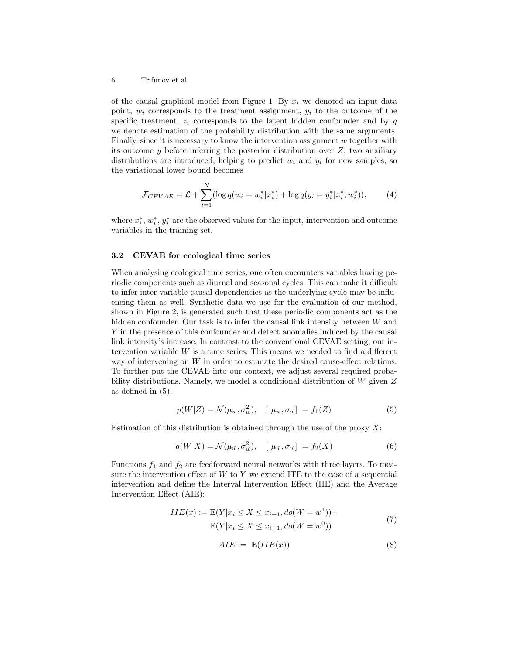of the causal graphical model from Figure 1. By  $x_i$  we denoted an input data point,  $w_i$  corresponds to the treatment assignment,  $y_i$  to the outcome of the specific treatment,  $z_i$  corresponds to the latent hidden confounder and by  $q$ we denote estimation of the probability distribution with the same arguments. Finally, since it is necessary to know the intervention assignment  $w$  together with its outcome  $y$  before inferring the posterior distribution over  $Z$ , two auxiliary distributions are introduced, helping to predict  $w_i$  and  $y_i$  for new samples, so the variational lower bound becomes

$$
\mathcal{F}_{CEVAE} = \mathcal{L} + \sum_{i=1}^{N} (\log q(w_i = w_i^* | x_i^*) + \log q(y_i = y_i^* | x_i^*, w_i^*)), \tag{4}
$$

where  $x_i^*, w_i^*, y_i^*$  are the observed values for the input, intervention and outcome variables in the training set.

#### 3.2 CEVAE for ecological time series

When analysing ecological time series, one often encounters variables having periodic components such as diurnal and seasonal cycles. This can make it difficult to infer inter-variable causal dependencies as the underlying cycle may be influencing them as well. Synthetic data we use for the evaluation of our method, shown in Figure 2, is generated such that these periodic components act as the hidden confounder. Our task is to infer the causal link intensity between W and Y in the presence of this confounder and detect anomalies induced by the causal link intensity's increase. In contrast to the conventional CEVAE setting, our intervention variable  $W$  is a time series. This means we needed to find a different way of intervening on W in order to estimate the desired cause-effect relations. To further put the CEVAE into our context, we adjust several required probability distributions. Namely, we model a conditional distribution of W given Z as defined in (5).

$$
p(W|Z) = \mathcal{N}(\mu_w, \sigma_w^2), \quad [\mu_w, \sigma_w] = f_1(Z) \tag{5}
$$

Estimation of this distribution is obtained through the use of the proxy  $X$ :

$$
q(W|X) = \mathcal{N}(\mu_{\hat{w}}, \sigma_{\hat{w}}^2), \quad [\mu_{\hat{w}}, \sigma_{\hat{w}}] = f_2(X) \tag{6}
$$

Functions  $f_1$  and  $f_2$  are feedforward neural networks with three layers. To measure the intervention effect of  $W$  to  $Y$  we extend ITE to the case of a sequential intervention and define the Interval Intervention Effect (IIE) and the Average Intervention Effect (AIE):

$$
IIE(x) := \mathbb{E}(Y|x_i \le X \le x_{i+1}, do(W = w^1)) -
$$
  
 
$$
\mathbb{E}(Y|x_i \le X \le x_{i+1}, do(W = w^0))
$$
 (7)

$$
AIE := \mathbb{E}(IIE(x))\tag{8}
$$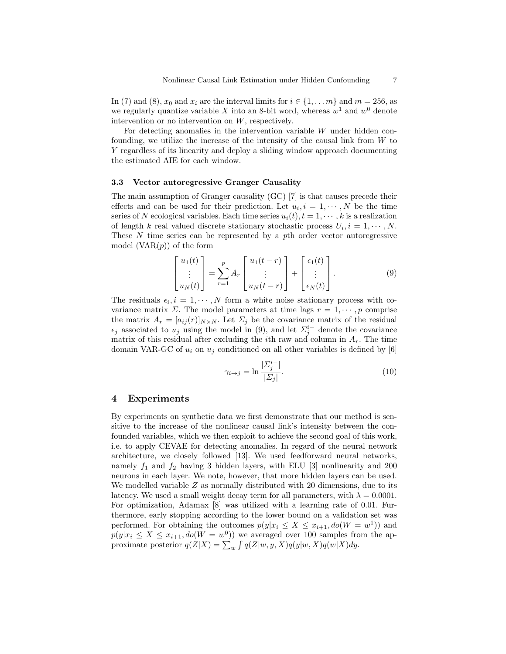In (7) and (8),  $x_0$  and  $x_i$  are the interval limits for  $i \in \{1, \ldots m\}$  and  $m = 256$ , as we regularly quantize variable X into an 8-bit word, whereas  $w^1$  and  $w^0$  denote intervention or no intervention on W, respectively.

For detecting anomalies in the intervention variable W under hidden confounding, we utilize the increase of the intensity of the causal link from W to Y regardless of its linearity and deploy a sliding window approach documenting the estimated AIE for each window.

#### 3.3 Vector autoregressive Granger Causality

The main assumption of Granger causality (GC) [7] is that causes precede their effects and can be used for their prediction. Let  $u_i, i = 1, \dots, N$  be the time series of N ecological variables. Each time series  $u_i(t)$ ,  $t = 1, \dots, k$  is a realization of length k real valued discrete stationary stochastic process  $U_i, i = 1, \cdots, N$ . These N time series can be represented by a pth order vector autoregressive model  $(VAR(p))$  of the form

$$
\begin{bmatrix} u_1(t) \\ \vdots \\ u_N(t) \end{bmatrix} = \sum_{r=1}^p A_r \begin{bmatrix} u_1(t-r) \\ \vdots \\ u_N(t-r) \end{bmatrix} + \begin{bmatrix} \epsilon_1(t) \\ \vdots \\ \epsilon_N(t) \end{bmatrix} . \tag{9}
$$

The residuals  $\epsilon_i, i = 1, \dots, N$  form a white noise stationary process with covariance matrix  $\Sigma$ . The model parameters at time lags  $r = 1, \dots, p$  comprise the matrix  $A_r = [a_{ij}(r)]_{N \times N}$ . Let  $\Sigma_j$  be the covariance matrix of the residual  $\epsilon_j$  associated to  $u_j$  using the model in (9), and let  $\sum_j^{i-1}$  denote the covariance matrix of this residual after excluding the *i*th raw and column in  $A_r$ . The time domain VAR-GC of  $u_i$  on  $u_j$  conditioned on all other variables is defined by [6]

$$
\gamma_{i \to j} = \ln \frac{|\Sigma_j^{i-}|}{|\Sigma_j|}.\tag{10}
$$

## 4 Experiments

By experiments on synthetic data we first demonstrate that our method is sensitive to the increase of the nonlinear causal link's intensity between the confounded variables, which we then exploit to achieve the second goal of this work, i.e. to apply CEVAE for detecting anomalies. In regard of the neural network architecture, we closely followed [13]. We used feedforward neural networks, namely  $f_1$  and  $f_2$  having 3 hidden layers, with ELU [3] nonlinearity and 200 neurons in each layer. We note, however, that more hidden layers can be used. We modelled variable  $Z$  as normally distributed with 20 dimensions, due to its latency. We used a small weight decay term for all parameters, with  $\lambda = 0.0001$ . For optimization, Adamax [8] was utilized with a learning rate of 0.01. Furthermore, early stopping according to the lower bound on a validation set was performed. For obtaining the outcomes  $p(y|x_i \leq X \leq x_{i+1}, do(W = w^1))$  and  $p(y|x_i \leq X \leq x_{i+1}, do(W = w^0))$  we averaged over 100 samples from the approximate posterior  $q(Z|X) = \sum_{w} \int q(Z|w, y, X)q(y|w, X)q(w|X)dy.$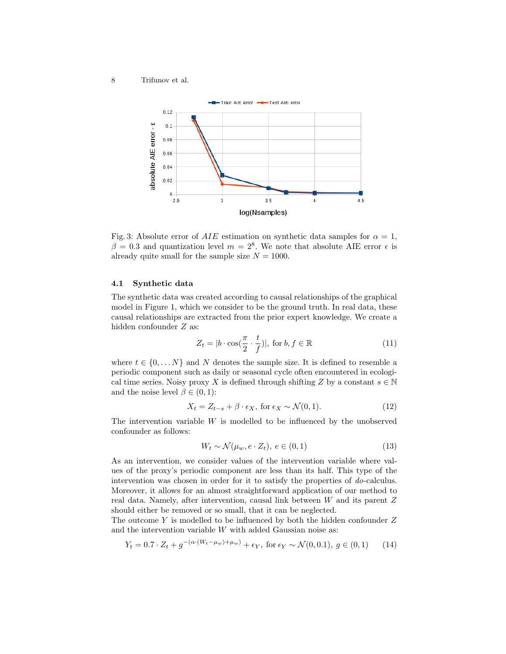8 Trifunov et al.



Fig. 3: Absolute error of  $AIE$  estimation on synthetic data samples for  $\alpha = 1$ ,  $\beta = 0.3$  and quantization level  $m = 2^8$ . We note that absolute AIE error  $\epsilon$  is already quite small for the sample size  $N = 1000$ .

#### 4.1 Synthetic data

The synthetic data was created according to causal relationships of the graphical model in Figure 1, which we consider to be the ground truth. In real data, these causal relationships are extracted from the prior expert knowledge. We create a hidden confounder Z as:

$$
Z_t = |b \cdot \cos(\frac{\pi}{2} \cdot \frac{t}{f})|, \text{ for } b, f \in \mathbb{R}
$$
 (11)

where  $t \in \{0, \ldots N\}$  and N denotes the sample size. It is defined to resemble a periodic component such as daily or seasonal cycle often encountered in ecological time series. Noisy proxy X is defined through shifting Z by a constant  $s \in \mathbb{N}$ and the noise level  $\beta \in (0,1)$ :

$$
X_t = Z_{t-s} + \beta \cdot \epsilon_X, \text{ for } \epsilon_X \sim \mathcal{N}(0,1). \tag{12}
$$

The intervention variable  $W$  is modelled to be influenced by the unobserved confounder as follows:

$$
W_t \sim \mathcal{N}(\mu_w, e \cdot Z_t), \ e \in (0, 1) \tag{13}
$$

As an intervention, we consider values of the intervention variable where values of the proxy's periodic component are less than its half. This type of the intervention was chosen in order for it to satisfy the properties of do-calculus. Moreover, it allows for an almost straightforward application of our method to real data. Namely, after intervention, causal link between W and its parent Z should either be removed or so small, that it can be neglected.

The outcome  $Y$  is modelled to be influenced by both the hidden confounder  $Z$ and the intervention variable W with added Gaussian noise as:

$$
Y_t = 0.7 \cdot Z_t + g^{-(\alpha \cdot (W_t - \mu_w) + \mu_w)} + \epsilon_Y, \text{ for } \epsilon_Y \sim \mathcal{N}(0, 0.1), g \in (0, 1)
$$
 (14)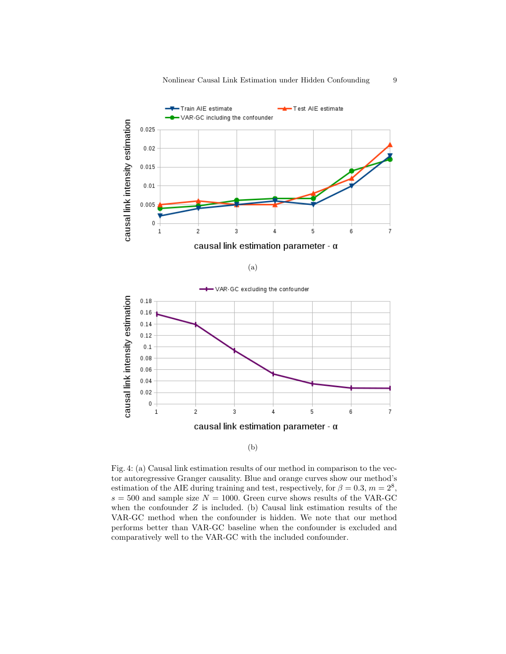

(a)





Fig. 4: (a) Causal link estimation results of our method in comparison to the vector autoregressive Granger causality. Blue and orange curves show our method's estimation of the AIE during training and test, respectively, for  $\beta = 0.3$ ,  $m = 2^8$ ,  $s = 500$  and sample size  $N = 1000$ . Green curve shows results of the VAR-GC when the confounder  $Z$  is included. (b) Causal link estimation results of the VAR-GC method when the confounder is hidden. We note that our method performs better than VAR-GC baseline when the confounder is excluded and comparatively well to the VAR-GC with the included confounder.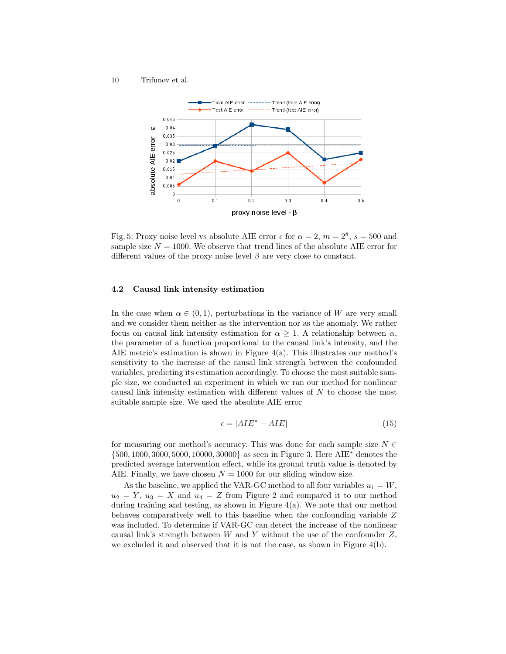10 Trifunov et al.



Fig. 5: Proxy noise level vs absolute AIE error  $\epsilon$  for  $\alpha = 2$ ,  $m = 2^8$ ,  $s = 500$  and sample size  $N = 1000$ . We observe that trend lines of the absolute AIE error for different values of the proxy noise level  $\beta$  are very close to constant.

## 4.2 Causal link intensity estimation

In the case when  $\alpha \in (0,1)$ , perturbations in the variance of W are very small and we consider them neither as the intervention nor as the anomaly. We rather focus on causal link intensity estimation for  $\alpha > 1$ . A relationship between  $\alpha$ , the parameter of a function proportional to the causal link's intensity, and the AIE metric's estimation is shown in Figure 4(a). This illustrates our method's sensitivity to the increase of the causal link strength between the confounded variables, predicting its estimation accordingly. To choose the most suitable sample size, we conducted an experiment in which we ran our method for nonlinear causal link intensity estimation with different values of N to choose the most suitable sample size. We used the absolute AIE error

$$
\epsilon = |AIE^* - AIE| \tag{15}
$$

for measuring our method's accuracy. This was done for each sample size  $N \in$ {500, 1000, 3000, 5000, 10000, 30000} as seen in Figure 3. Here AIE<sup>∗</sup> denotes the predicted average intervention effect, while its ground truth value is denoted by AIE. Finally, we have chosen  $N = 1000$  for our sliding window size.

As the baseline, we applied the VAR-GC method to all four variables  $u_1 = W$ ,  $u_2 = Y$ ,  $u_3 = X$  and  $u_4 = Z$  from Figure 2 and compared it to our method during training and testing, as shown in Figure 4(a). We note that our method behaves comparatively well to this baseline when the confounding variable Z was included. To determine if VAR-GC can detect the increase of the nonlinear causal link's strength between  $W$  and  $Y$  without the use of the confounder  $Z$ , we excluded it and observed that it is not the case, as shown in Figure 4(b).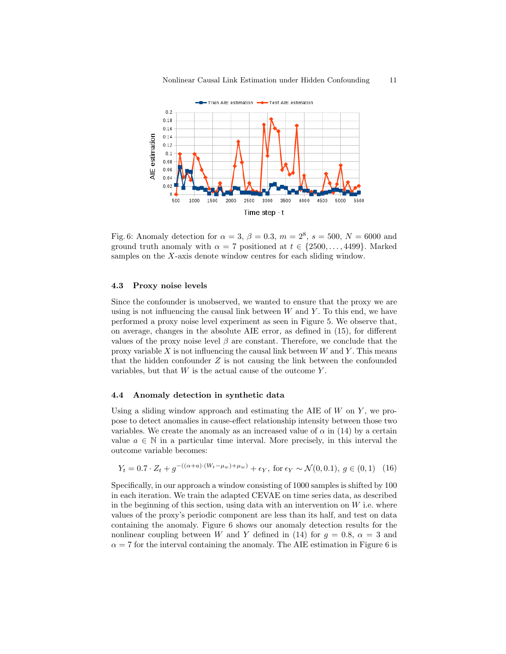

Fig. 6: Anomaly detection for  $\alpha = 3, \beta = 0.3, m = 2^8, s = 500, N = 6000$  and ground truth anomaly with  $\alpha = 7$  positioned at  $t \in \{2500, \ldots, 4499\}$ . Marked samples on the X-axis denote window centres for each sliding window.

#### 4.3 Proxy noise levels

Since the confounder is unobserved, we wanted to ensure that the proxy we are using is not influencing the causal link between  $W$  and  $Y$ . To this end, we have performed a proxy noise level experiment as seen in Figure 5. We observe that, on average, changes in the absolute AIE error, as defined in (15), for different values of the proxy noise level  $\beta$  are constant. Therefore, we conclude that the proxy variable  $X$  is not influencing the causal link between  $W$  and  $Y$ . This means that the hidden confounder  $Z$  is not causing the link between the confounded variables, but that  $W$  is the actual cause of the outcome  $Y$ .

#### 4.4 Anomaly detection in synthetic data

Using a sliding window approach and estimating the AIE of  $W$  on  $Y$ , we propose to detect anomalies in cause-effect relationship intensity between those two variables. We create the anomaly as an increased value of  $\alpha$  in (14) by a certain value  $a \in \mathbb{N}$  in a particular time interval. More precisely, in this interval the outcome variable becomes:

$$
Y_t = 0.7 \cdot Z_t + g^{-((\alpha + a) \cdot (W_t - \mu_w) + \mu_w)} + \epsilon_Y, \text{ for } \epsilon_Y \sim \mathcal{N}(0, 0.1), g \in (0, 1) \tag{16}
$$

Specifically, in our approach a window consisting of 1000 samples is shifted by 100 in each iteration. We train the adapted CEVAE on time series data, as described in the beginning of this section, using data with an intervention on  $W$  i.e. where values of the proxy's periodic component are less than its half, and test on data containing the anomaly. Figure 6 shows our anomaly detection results for the nonlinear coupling between W and Y defined in (14) for  $g = 0.8$ ,  $\alpha = 3$  and  $\alpha = 7$  for the interval containing the anomaly. The AIE estimation in Figure 6 is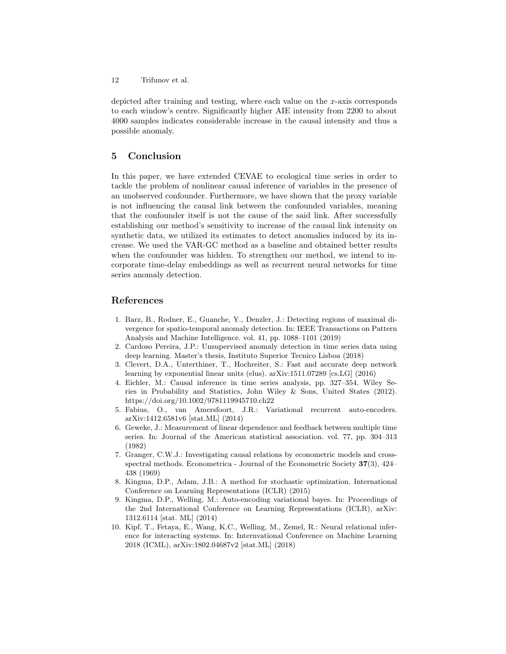depicted after training and testing, where each value on the  $x$ -axis corresponds to each window's centre. Significantly higher AIE intensity from 2200 to about 4000 samples indicates considerable increase in the causal intensity and thus a possible anomaly.

## 5 Conclusion

In this paper, we have extended CEVAE to ecological time series in order to tackle the problem of nonlinear causal inference of variables in the presence of an unobserved confounder. Furthermore, we have shown that the proxy variable is not influencing the causal link between the confounded variables, meaning that the confounder itself is not the cause of the said link. After successfully establishing our method's sensitivity to increase of the causal link intensity on synthetic data, we utilized its estimates to detect anomalies induced by its increase. We used the VAR-GC method as a baseline and obtained better results when the confounder was hidden. To strengthen our method, we intend to incorporate time-delay embeddings as well as recurrent neural networks for time series anomaly detection.

## References

- 1. Barz, B., Rodner, E., Guanche, Y., Denzler, J.: Detecting regions of maximal divergence for spatio-temporal anomaly detection. In: IEEE Transactions on Pattern Analysis and Machine Intelligence. vol. 41, pp. 1088–1101 (2019)
- 2. Cardoso Pereira, J.P.: Unsupervised anomaly detection in time series data using deep learning. Master's thesis, Instituto Superior Tecnico Lisboa (2018)
- 3. Clevert, D.A., Unterthiner, T., Hochreiter, S.: Fast and accurate deep network learning by exponential linear units (elus). arXiv:1511.07289 [cs.LG] (2016)
- 4. Eichler, M.: Causal inference in time series analysis, pp. 327–354. Wiley Series in Probability and Statistics, John Wiley & Sons, United States (2012). https://doi.org/10.1002/9781119945710.ch22
- 5. Fabius, O., van Amersfoort, J.R.: Variational recurrent auto-encoders. arXiv:1412.6581v6 [stat.ML] (2014)
- 6. Geweke, J.: Measurement of linear dependence and feedback between multiple time series. In: Journal of the American statistical association. vol. 77, pp. 304–313 (1982)
- 7. Granger, C.W.J.: Investigating causal relations by econometric models and crossspectral methods. Econometrica - Journal of the Econometric Society 37(3), 424– 438 (1969)
- 8. Kingma, D.P., Adam, J.B.: A method for stochastic optimization. International Conference on Learning Representations (ICLR) (2015)
- 9. Kingma, D.P., Welling, M.: Auto-encoding variational bayes. In: Proceedings of the 2nd International Conference on Learning Representations (ICLR), arXiv: 1312.6114 [stat. ML] (2014)
- 10. Kipf, T., Fetaya, E., Wang, K.C., Welling, M., Zemel, R.: Neural relational inference for interacting systems. In: Internvational Conference on Machine Learning 2018 (ICML), arXiv:1802.04687v2 [stat.ML] (2018)